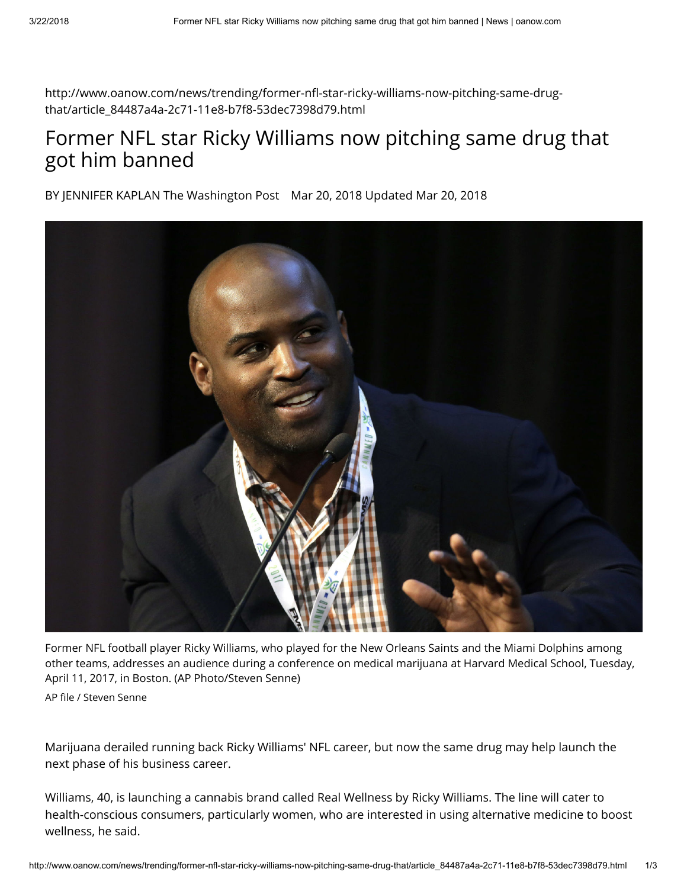http://www.oanow.com/news/trending/former-nfl-star-ricky-williams-now-pitching-same-drugthat/article\_84487a4a-2c71-11e8-b7f8-53dec7398d79.html

## Former NFL star Ricky Williams now pitching same drug that got him banned

BY JENNIFER KAPLAN The Washington Post Mar 20, 2018 Updated Mar 20, 2018



Former NFL football player Ricky Williams, who played for the New Orleans Saints and the Miami Dolphins among other teams, addresses an audience during a conference on medical marijuana at Harvard Medical School, Tuesday, April 11, 2017, in Boston. (AP Photo/Steven Senne)

AP file / Steven Senne

Marijuana derailed running back Ricky Williams' NFL career, but now the same drug may help launch the next phase of his business career.

Williams, 40, is launching a cannabis brand called Real Wellness by Ricky Williams. The line will cater to health-conscious consumers, particularly women, who are interested in using alternative medicine to boost wellness, he said.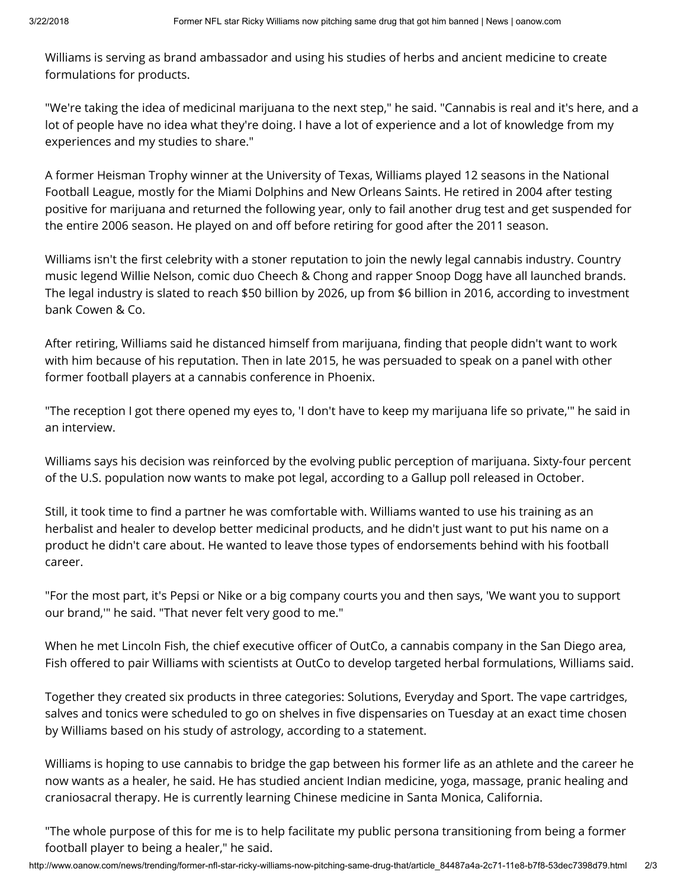Williams is serving as brand ambassador and using his studies of herbs and ancient medicine to create formulations for products.

"We're taking the idea of medicinal marijuana to the next step," he said. "Cannabis is real and it's here, and a lot of people have no idea what they're doing. I have a lot of experience and a lot of knowledge from my experiences and my studies to share."

A former Heisman Trophy winner at the University of Texas, Williams played 12 seasons in the National Football League, mostly for the Miami Dolphins and New Orleans Saints. He retired in 2004 after testing positive for marijuana and returned the following year, only to fail another drug test and get suspended for the entire 2006 season. He played on and off before retiring for good after the 2011 season.

Williams isn't the first celebrity with a stoner reputation to join the newly legal cannabis industry. Country music legend Willie Nelson, comic duo Cheech & Chong and rapper Snoop Dogg have all launched brands. The legal industry is slated to reach \$50 billion by 2026, up from \$6 billion in 2016, according to investment bank Cowen & Co.

After retiring, Williams said he distanced himself from marijuana, finding that people didn't want to work with him because of his reputation. Then in late 2015, he was persuaded to speak on a panel with other former football players at a cannabis conference in Phoenix.

"The reception I got there opened my eyes to, 'I don't have to keep my marijuana life so private,'" he said in an interview.

Williams says his decision was reinforced by the evolving public perception of marijuana. Sixty-four percent of the U.S. population now wants to make pot legal, according to a Gallup poll released in October.

Still, it took time to find a partner he was comfortable with. Williams wanted to use his training as an herbalist and healer to develop better medicinal products, and he didn't just want to put his name on a product he didn't care about. He wanted to leave those types of endorsements behind with his football career.

"For the most part, it's Pepsi or Nike or a big company courts you and then says, 'We want you to support our brand,'" he said. "That never felt very good to me."

When he met Lincoln Fish, the chief executive officer of OutCo, a cannabis company in the San Diego area, Fish offered to pair Williams with scientists at OutCo to develop targeted herbal formulations, Williams said.

Together they created six products in three categories: Solutions, Everyday and Sport. The vape cartridges, salves and tonics were scheduled to go on shelves in five dispensaries on Tuesday at an exact time chosen by Williams based on his study of astrology, according to a statement.

Williams is hoping to use cannabis to bridge the gap between his former life as an athlete and the career he now wants as a healer, he said. He has studied ancient Indian medicine, yoga, massage, pranic healing and craniosacral therapy. He is currently learning Chinese medicine in Santa Monica, California.

"The whole purpose of this for me is to help facilitate my public persona transitioning from being a former football player to being a healer," he said.